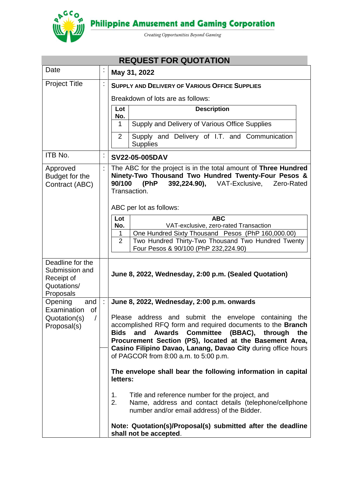

**Philippine Amusement and Gaming Corporation** 

Creating Opportunities Beyond Gaming

| <b>REQUEST FOR QUOTATION</b>                                                 |    |                                                                                                                                                                                                                                                                                                                  |  |  |  |  |
|------------------------------------------------------------------------------|----|------------------------------------------------------------------------------------------------------------------------------------------------------------------------------------------------------------------------------------------------------------------------------------------------------------------|--|--|--|--|
| Date                                                                         | ÷  | May 31, 2022                                                                                                                                                                                                                                                                                                     |  |  |  |  |
| <b>Project Title</b>                                                         | ÷  | <b>SUPPLY AND DELIVERY OF VARIOUS OFFICE SUPPLIES</b>                                                                                                                                                                                                                                                            |  |  |  |  |
|                                                                              |    | Breakdown of lots are as follows:                                                                                                                                                                                                                                                                                |  |  |  |  |
|                                                                              |    | Lot<br><b>Description</b><br>No.                                                                                                                                                                                                                                                                                 |  |  |  |  |
|                                                                              |    | Supply and Delivery of Various Office Supplies<br>$\mathbf 1$                                                                                                                                                                                                                                                    |  |  |  |  |
|                                                                              |    | Supply and Delivery of I.T. and Communication<br>2<br><b>Supplies</b>                                                                                                                                                                                                                                            |  |  |  |  |
| ITB No.                                                                      | İ, | SV22-05-005DAV                                                                                                                                                                                                                                                                                                   |  |  |  |  |
| Approved<br>Budget for the<br>Contract (ABC)                                 |    | The ABC for the project is in the total amount of Three Hundred<br>Ninety-Two Thousand Two Hundred Twenty-Four Pesos &<br>(PhP<br>90/100<br><b>392,224.90), VAT-Exclusive,</b><br>Zero-Rated<br>Transaction.                                                                                                     |  |  |  |  |
|                                                                              |    | ABC per lot as follows:                                                                                                                                                                                                                                                                                          |  |  |  |  |
|                                                                              |    | <b>ABC</b><br>Lot<br>No.<br>VAT-exclusive, zero-rated Transaction<br>One Hundred Sixty Thousand Pesos (PhP 160,000.00)<br>1<br>Two Hundred Thirty-Two Thousand Two Hundred Twenty<br>$\overline{2}$<br>Four Pesos & 90/100 (PhP 232,224.90)                                                                      |  |  |  |  |
| Deadline for the<br>Submission and<br>Receipt of<br>Quotations/<br>Proposals |    | June 8, 2022, Wednesday, 2:00 p.m. (Sealed Quotation)                                                                                                                                                                                                                                                            |  |  |  |  |
| Opening<br>and                                                               |    | June 8, 2022, Wednesday, 2:00 p.m. onwards                                                                                                                                                                                                                                                                       |  |  |  |  |
| Examination<br>of<br>Quotation(s)<br>$\sqrt{ }$<br>Proposal(s)               |    | Please address and submit the envelope containing the<br>accomplished RFQ form and required documents to the Branch<br><b>Bids</b><br>Awards Committee (BBAC), through<br>and<br>the<br>Procurement Section (PS), located at the Basement Area,<br>Casino Filipino Davao, Lanang, Davao City during office hours |  |  |  |  |
|                                                                              |    | of PAGCOR from 8:00 a.m. to 5:00 p.m.                                                                                                                                                                                                                                                                            |  |  |  |  |
|                                                                              |    | The envelope shall bear the following information in capital<br>letters:                                                                                                                                                                                                                                         |  |  |  |  |
|                                                                              |    | Title and reference number for the project, and<br>1.<br>Name, address and contact details (telephone/cellphone<br>2.<br>number and/or email address) of the Bidder.                                                                                                                                             |  |  |  |  |
|                                                                              |    | Note: Quotation(s)/Proposal(s) submitted after the deadline<br>shall not be accepted.                                                                                                                                                                                                                            |  |  |  |  |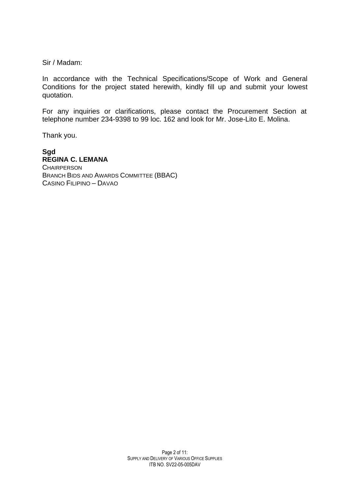Sir / Madam:

In accordance with the Technical Specifications/Scope of Work and General Conditions for the project stated herewith, kindly fill up and submit your lowest quotation.

For any inquiries or clarifications, please contact the Procurement Section at telephone number 234-9398 to 99 loc. 162 and look for Mr. Jose-Lito E. Molina.

Thank you.

#### **Sgd REGINA C. LEMANA CHAIRPERSON** BRANCH BIDS AND AWARDS COMMITTEE (BBAC) CASINO FILIPINO – DAVAO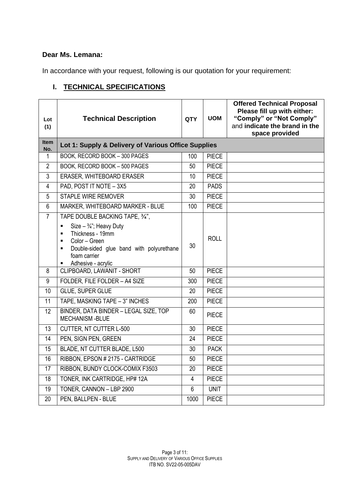### **Dear Ms. Lemana:**

In accordance with your request, following is our quotation for your requirement:

# **I. TECHNICAL SPECIFICATIONS**

| Lot<br>(1)         | <b>Technical Description</b>                                                                                                                                                                                                                                    | <b>QTY</b> | <b>UOM</b>   | <b>Offered Technical Proposal</b><br>Please fill up with either:<br>"Comply" or "Not Comply"<br>and indicate the brand in the<br>space provided |
|--------------------|-----------------------------------------------------------------------------------------------------------------------------------------------------------------------------------------------------------------------------------------------------------------|------------|--------------|-------------------------------------------------------------------------------------------------------------------------------------------------|
| <b>Item</b><br>No. | Lot 1: Supply & Delivery of Various Office Supplies                                                                                                                                                                                                             |            |              |                                                                                                                                                 |
| $\mathbf{1}$       | BOOK, RECORD BOOK - 300 PAGES                                                                                                                                                                                                                                   | 100        | <b>PIECE</b> |                                                                                                                                                 |
| $\overline{2}$     | BOOK, RECORD BOOK - 500 PAGES                                                                                                                                                                                                                                   | 50         | <b>PIECE</b> |                                                                                                                                                 |
| $\mathfrak{S}$     | ERASER, WHITEBOARD ERASER                                                                                                                                                                                                                                       | 10         | <b>PIECE</b> |                                                                                                                                                 |
| $\overline{4}$     | PAD, POST IT NOTE - 3X5                                                                                                                                                                                                                                         | 20         | <b>PADS</b>  |                                                                                                                                                 |
| 5                  | <b>STAPLE WIRE REMOVER</b>                                                                                                                                                                                                                                      | 30         | <b>PIECE</b> |                                                                                                                                                 |
| 6                  | MARKER, WHITEBOARD MARKER - BLUE                                                                                                                                                                                                                                | 100        | <b>PIECE</b> |                                                                                                                                                 |
| $\overline{7}$     | TAPE DOUBLE BACKING TAPE, 3/4",<br>Size $-3/4$ ; Heavy Duty<br>$\blacksquare$<br>Thickness - 19mm<br>$\blacksquare$<br>Color - Green<br>$\blacksquare$<br>Double-sided glue band with polyurethane<br>$\blacksquare$<br>foam carrier<br>Adhesive - acrylic<br>٠ | 30         | <b>ROLL</b>  |                                                                                                                                                 |
| 8                  | CLIPBOARD, LAWANIT - SHORT                                                                                                                                                                                                                                      | 50         | <b>PIECE</b> |                                                                                                                                                 |
| 9                  | FOLDER, FILE FOLDER - A4 SIZE                                                                                                                                                                                                                                   | 300        | <b>PIECE</b> |                                                                                                                                                 |
| 10                 | <b>GLUE, SUPER GLUE</b>                                                                                                                                                                                                                                         | 20         | <b>PIECE</b> |                                                                                                                                                 |
| 11                 | TAPE, MASKING TAPE - 3" INCHES                                                                                                                                                                                                                                  | 200        | <b>PIECE</b> |                                                                                                                                                 |
| 12                 | BINDER, DATA BINDER - LEGAL SIZE, TOP<br><b>MECHANISM-BLUE</b>                                                                                                                                                                                                  | 60         | <b>PIECE</b> |                                                                                                                                                 |
| 13                 | CUTTER, NT CUTTER L-500                                                                                                                                                                                                                                         | 30         | <b>PIECE</b> |                                                                                                                                                 |
| 14                 | PEN, SIGN PEN, GREEN                                                                                                                                                                                                                                            | 24         | <b>PIECE</b> |                                                                                                                                                 |
| 15                 | BLADE, NT CUTTER BLADE, L500                                                                                                                                                                                                                                    | 30         | <b>PACK</b>  |                                                                                                                                                 |
| 16                 | RIBBON, EPSON #2175 - CARTRIDGE                                                                                                                                                                                                                                 | 50         | <b>PIECE</b> |                                                                                                                                                 |
| 17                 | RIBBON, BUNDY CLOCK-COMIX F3503                                                                                                                                                                                                                                 | 20         | <b>PIECE</b> |                                                                                                                                                 |
| 18                 | TONER, INK CARTRIDGE, HP# 12A                                                                                                                                                                                                                                   | 4          | <b>PIECE</b> |                                                                                                                                                 |
| 19                 | TONER, CANNON - LBP 2900                                                                                                                                                                                                                                        | 6          | <b>UNIT</b>  |                                                                                                                                                 |
| 20                 | PEN, BALLPEN - BLUE                                                                                                                                                                                                                                             | 1000       | <b>PIECE</b> |                                                                                                                                                 |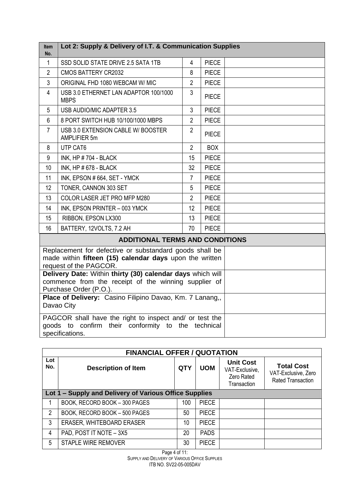| ltem<br>No.                                                                    | Lot 2: Supply & Delivery of I.T. & Communication Supplies                                                                                    |                |              |  |
|--------------------------------------------------------------------------------|----------------------------------------------------------------------------------------------------------------------------------------------|----------------|--------------|--|
| $\mathbf{1}$                                                                   | SSD SOLID STATE DRIVE 2.5 SATA 1TB                                                                                                           | $\overline{4}$ | <b>PIECE</b> |  |
| $\overline{2}$                                                                 | <b>CMOS BATTERY CR2032</b>                                                                                                                   | 8              | <b>PIECE</b> |  |
| $\mathbf{3}$                                                                   | ORIGINAL FHD 1080 WEBCAM W/ MIC                                                                                                              | $\overline{2}$ | <b>PIECE</b> |  |
| $\overline{4}$                                                                 | USB 3.0 ETHERNET LAN ADAPTOR 100/1000<br><b>MBPS</b>                                                                                         | 3              | <b>PIECE</b> |  |
| 5                                                                              | USB AUDIO/MIC ADAPTER 3.5                                                                                                                    | $\mathbf{3}$   | <b>PIECE</b> |  |
| 6                                                                              | 8 PORT SWITCH HUB 10/100/1000 MBPS                                                                                                           | $\overline{2}$ | <b>PIECE</b> |  |
| $\overline{7}$                                                                 | USB 3.0 EXTENSION CABLE W/ BOOSTER<br>AMPLIFIER 5m                                                                                           | $\overline{2}$ | <b>PIECE</b> |  |
| 8                                                                              | UTP CAT6                                                                                                                                     | $\overline{2}$ | <b>BOX</b>   |  |
| 9                                                                              | <b>INK, HP #704 - BLACK</b>                                                                                                                  | 15             | <b>PIECE</b> |  |
| 10                                                                             | INK, HP # 678 - BLACK                                                                                                                        | 32             | <b>PIECE</b> |  |
| 11                                                                             | INK, EPSON #664, SET - YMCK                                                                                                                  | $\overline{7}$ | <b>PIECE</b> |  |
| 12                                                                             | TONER, CANNON 303 SET                                                                                                                        | 5              | <b>PIECE</b> |  |
| 13                                                                             | COLOR LASER JET PRO MFP M280                                                                                                                 | $\overline{2}$ | <b>PIECE</b> |  |
| 14                                                                             | INK, EPSON PRINTER - 003 YMCK                                                                                                                | 12             | <b>PIECE</b> |  |
| 15                                                                             | RIBBON, EPSON LX300                                                                                                                          | 13             | <b>PIECE</b> |  |
| 16                                                                             | BATTERY, 12VOLTS, 7.2 AH                                                                                                                     | 70             | <b>PIECE</b> |  |
|                                                                                | <b>ADDITIONAL TERMS AND CONDITIONS</b>                                                                                                       |                |              |  |
|                                                                                | Replacement for defective or substandard goods shall be<br>made within fifteen (15) calendar days upon the written<br>request of the PAGCOR. |                |              |  |
| Delivery Date: Within thirty (30) calendar days which will                     |                                                                                                                                              |                |              |  |
| commence from the receipt of the winning supplier of<br>Purchase Order (P.O.). |                                                                                                                                              |                |              |  |
| Place of Delivery: Casino Filipino Davao, Km. 7 Lanang,,                       |                                                                                                                                              |                |              |  |
|                                                                                | Davao City                                                                                                                                   |                |              |  |
|                                                                                | PAGCOR shall have the right to inspect and/ or test the                                                                                      |                |              |  |
|                                                                                | goods to confirm their conformity to the technical<br>specifications.                                                                        |                |              |  |

|            | <b>FINANCIAL OFFER / QUOTATION</b>                     |            |              |                                                                 |                                                                      |  |  |  |
|------------|--------------------------------------------------------|------------|--------------|-----------------------------------------------------------------|----------------------------------------------------------------------|--|--|--|
| Lot<br>No. | <b>Description of Item</b>                             | <b>QTY</b> | <b>UOM</b>   | <b>Unit Cost</b><br>VAT-Exclusive,<br>Zero Rated<br>Transaction | <b>Total Cost</b><br>VAT-Exclusive, Zero<br><b>Rated Transaction</b> |  |  |  |
|            | Lot 1 – Supply and Delivery of Various Office Supplies |            |              |                                                                 |                                                                      |  |  |  |
|            | BOOK, RECORD BOOK - 300 PAGES                          | 100        | <b>PIECE</b> |                                                                 |                                                                      |  |  |  |
| 2          | BOOK, RECORD BOOK - 500 PAGES                          | 50         | <b>PIECE</b> |                                                                 |                                                                      |  |  |  |
| 3          | ERASER, WHITEBOARD ERASER                              | 10         | <b>PIECE</b> |                                                                 |                                                                      |  |  |  |
| 4          | PAD, POST IT NOTE - 3X5                                | 20         | <b>PADS</b>  |                                                                 |                                                                      |  |  |  |
| 5          | <b>STAPLE WIRE REMOVER</b>                             | 30         | <b>PIECE</b> |                                                                 |                                                                      |  |  |  |

Page 4 of 11: SUPPLY AND DELIVERY OF VARIOUS OFFICE SUPPLIES ITB NO. SV22-05-005DAV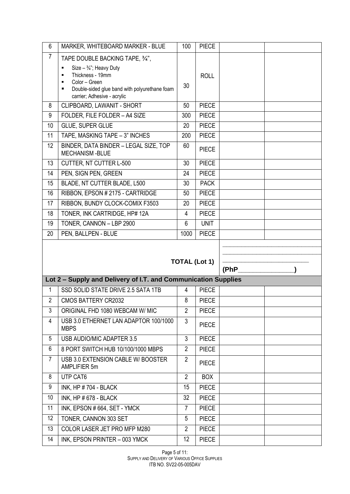| 6              | MARKER, WHITEBOARD MARKER - BLUE                                                                                                                                                                                                            | 100                 | <b>PIECE</b>                 |      |  |
|----------------|---------------------------------------------------------------------------------------------------------------------------------------------------------------------------------------------------------------------------------------------|---------------------|------------------------------|------|--|
| $\overline{7}$ | TAPE DOUBLE BACKING TAPE, 3/4",<br>Size $-3/4$ ; Heavy Duty<br>٠<br>Thickness - 19mm<br>$\blacksquare$<br>Color - Green<br>$\blacksquare$<br>Double-sided glue band with polyurethane foam<br>$\blacksquare$<br>carrier; Adhesive - acrylic | 30                  | <b>ROLL</b>                  |      |  |
| 8              | CLIPBOARD, LAWANIT - SHORT                                                                                                                                                                                                                  | 50                  | <b>PIECE</b>                 |      |  |
| 9              | FOLDER, FILE FOLDER - A4 SIZE                                                                                                                                                                                                               | 300                 | <b>PIECE</b>                 |      |  |
| 10             | GLUE, SUPER GLUE                                                                                                                                                                                                                            | 20                  | <b>PIECE</b>                 |      |  |
| 11             | TAPE, MASKING TAPE - 3" INCHES                                                                                                                                                                                                              | 200                 | <b>PIECE</b>                 |      |  |
| 12             | BINDER, DATA BINDER - LEGAL SIZE, TOP<br><b>MECHANISM -BLUE</b>                                                                                                                                                                             | 60                  | <b>PIECE</b>                 |      |  |
| 13             | CUTTER, NT CUTTER L-500                                                                                                                                                                                                                     | 30                  | <b>PIECE</b>                 |      |  |
| 14             | PEN, SIGN PEN, GREEN                                                                                                                                                                                                                        | 24                  | <b>PIECE</b>                 |      |  |
| 15             | BLADE, NT CUTTER BLADE, L500                                                                                                                                                                                                                | 30                  | <b>PACK</b>                  |      |  |
| 16             | RIBBON, EPSON #2175 - CARTRIDGE                                                                                                                                                                                                             | 50                  | <b>PIECE</b>                 |      |  |
| 17             | RIBBON, BUNDY CLOCK-COMIX F3503                                                                                                                                                                                                             | 20                  | <b>PIECE</b>                 |      |  |
| 18             | TONER, INK CARTRIDGE, HP# 12A                                                                                                                                                                                                               | 4                   | <b>PIECE</b>                 |      |  |
| 19             | TONER, CANNON - LBP 2900                                                                                                                                                                                                                    | 6                   | <b>UNIT</b>                  |      |  |
|                |                                                                                                                                                                                                                                             |                     |                              |      |  |
| 20             | PEN, BALLPEN - BLUE                                                                                                                                                                                                                         | 1000                | <b>PIECE</b>                 |      |  |
|                |                                                                                                                                                                                                                                             |                     | <b>TOTAL (Lot 1)</b>         |      |  |
|                |                                                                                                                                                                                                                                             |                     |                              | (PhP |  |
|                | Lot 2 - Supply and Delivery of I.T. and Communication Supplies                                                                                                                                                                              |                     |                              |      |  |
| 1              | SSD SOLID STATE DRIVE 2.5 SATA 1TB                                                                                                                                                                                                          | 4                   | <b>PIECE</b>                 |      |  |
| $\overline{2}$ | <b>CMOS BATTERY CR2032</b>                                                                                                                                                                                                                  | 8                   | <b>PIECE</b>                 |      |  |
| 3<br>4         | ORIGINAL FHD 1080 WEBCAM W/ MIC<br>USB 3.0 ETHERNET LAN ADAPTOR 100/1000<br><b>MBPS</b>                                                                                                                                                     | $\overline{2}$<br>3 | <b>PIECE</b><br><b>PIECE</b> |      |  |
| 5              | USB AUDIO/MIC ADAPTER 3.5                                                                                                                                                                                                                   | 3                   | <b>PIECE</b>                 |      |  |
| 6              | 8 PORT SWITCH HUB 10/100/1000 MBPS                                                                                                                                                                                                          | $\overline{2}$      | <b>PIECE</b>                 |      |  |
| $\overline{7}$ | USB 3.0 EXTENSION CABLE W/ BOOSTER<br>AMPLIFIER 5m                                                                                                                                                                                          | $\overline{2}$      | <b>PIECE</b>                 |      |  |
| 8              | UTP CAT6                                                                                                                                                                                                                                    | $\overline{2}$      | <b>BOX</b>                   |      |  |
| 9              | INK, HP #704 - BLACK                                                                                                                                                                                                                        | 15                  | <b>PIECE</b>                 |      |  |
| 10             | INK, HP # 678 - BLACK                                                                                                                                                                                                                       | 32                  | <b>PIECE</b>                 |      |  |
| 11             | INK, EPSON #664, SET - YMCK                                                                                                                                                                                                                 | $\overline{7}$      | <b>PIECE</b>                 |      |  |
| 12             | TONER, CANNON 303 SET                                                                                                                                                                                                                       | 5                   | <b>PIECE</b>                 |      |  |
| 13             | COLOR LASER JET PRO MFP M280                                                                                                                                                                                                                | $\overline{2}$      | <b>PIECE</b>                 |      |  |

Page 5 of 11: SUPPLY AND DELIVERY OF VARIOUS OFFICE SUPPLIES ITB NO. SV22-05-005DAV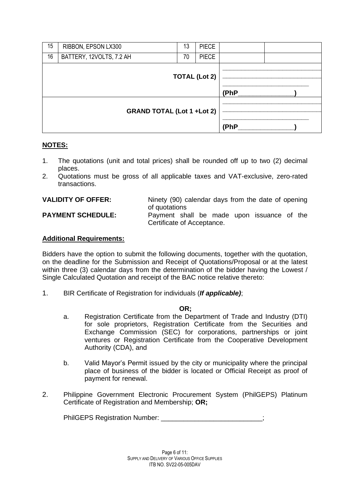| 15 | RIBBON, EPSON LX300               | 13 | <b>PIECE</b> |      |
|----|-----------------------------------|----|--------------|------|
| 16 | BATTERY, 12VOLTS, 7.2 AH          | 70 | <b>PIECE</b> |      |
|    | <b>TOTAL (Lot 2)</b>              |    |              | (PhP |
|    | <b>GRAND TOTAL (Lot 1 +Lot 2)</b> |    |              | (PhP |

## **NOTES:**

- 1. The quotations (unit and total prices) shall be rounded off up to two (2) decimal places.
- 2. Quotations must be gross of all applicable taxes and VAT-exclusive, zero-rated transactions.

| <b>VALIDITY OF OFFER:</b> | Ninety (90) calendar days from the date of opening<br>of quotations      |
|---------------------------|--------------------------------------------------------------------------|
| <b>PAYMENT SCHEDULE:</b>  | Payment shall be made upon issuance of the<br>Certificate of Acceptance. |

### **Additional Requirements:**

Bidders have the option to submit the following documents, together with the quotation, on the deadline for the Submission and Receipt of Quotations/Proposal or at the latest within three (3) calendar days from the determination of the bidder having the Lowest / Single Calculated Quotation and receipt of the BAC notice relative thereto:

1. BIR Certificate of Registration for individuals (*If applicable)*;

#### **OR;**

- a. Registration Certificate from the Department of Trade and Industry (DTI) for sole proprietors, Registration Certificate from the Securities and Exchange Commission (SEC) for corporations, partnerships or joint ventures or Registration Certificate from the Cooperative Development Authority (CDA), and
- b. Valid Mayor's Permit issued by the city or municipality where the principal place of business of the bidder is located or Official Receipt as proof of payment for renewal.
- 2. Philippine Government Electronic Procurement System (PhilGEPS) Platinum Certificate of Registration and Membership; **OR;**

PhilGEPS Registration Number: \_\_\_\_\_\_\_\_\_\_\_\_\_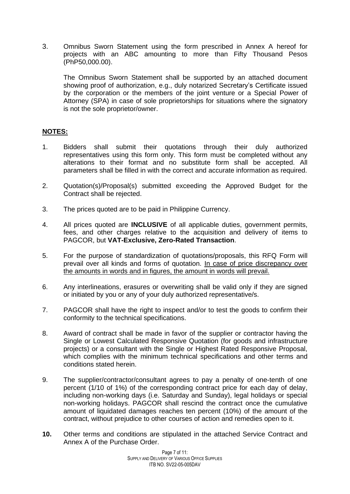3. Omnibus Sworn Statement using the form prescribed in Annex A hereof for projects with an ABC amounting to more than Fifty Thousand Pesos (PhP50,000.00).

The Omnibus Sworn Statement shall be supported by an attached document showing proof of authorization, e.g., duly notarized Secretary's Certificate issued by the corporation or the members of the joint venture or a Special Power of Attorney (SPA) in case of sole proprietorships for situations where the signatory is not the sole proprietor/owner.

### **NOTES:**

- 1. Bidders shall submit their quotations through their duly authorized representatives using this form only. This form must be completed without any alterations to their format and no substitute form shall be accepted. All parameters shall be filled in with the correct and accurate information as required.
- 2. Quotation(s)/Proposal(s) submitted exceeding the Approved Budget for the Contract shall be rejected.
- 3. The prices quoted are to be paid in Philippine Currency.
- 4. All prices quoted are **INCLUSIVE** of all applicable duties, government permits, fees, and other charges relative to the acquisition and delivery of items to PAGCOR, but **VAT-Exclusive, Zero-Rated Transaction**.
- 5. For the purpose of standardization of quotations/proposals, this RFQ Form will prevail over all kinds and forms of quotation. In case of price discrepancy over the amounts in words and in figures, the amount in words will prevail.
- 6. Any interlineations, erasures or overwriting shall be valid only if they are signed or initiated by you or any of your duly authorized representative/s.
- 7. PAGCOR shall have the right to inspect and/or to test the goods to confirm their conformity to the technical specifications.
- 8. Award of contract shall be made in favor of the supplier or contractor having the Single or Lowest Calculated Responsive Quotation (for goods and infrastructure projects) or a consultant with the Single or Highest Rated Responsive Proposal, which complies with the minimum technical specifications and other terms and conditions stated herein.
- 9. The supplier/contractor/consultant agrees to pay a penalty of one-tenth of one percent (1/10 of 1%) of the corresponding contract price for each day of delay, including non-working days (i.e. Saturday and Sunday), legal holidays or special non-working holidays. PAGCOR shall rescind the contract once the cumulative amount of liquidated damages reaches ten percent (10%) of the amount of the contract, without prejudice to other courses of action and remedies open to it.
- **10.** Other terms and conditions are stipulated in the attached Service Contract and Annex A of the Purchase Order.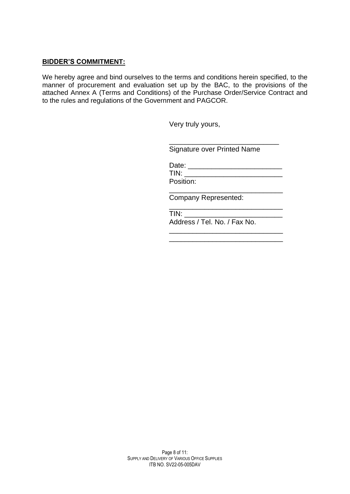#### **BIDDER'S COMMITMENT:**

We hereby agree and bind ourselves to the terms and conditions herein specified, to the manner of procurement and evaluation set up by the BAC, to the provisions of the attached Annex A (Terms and Conditions) of the Purchase Order/Service Contract and to the rules and regulations of the Government and PAGCOR.

Very truly yours,

Signature over Printed Name

\_\_\_\_\_\_\_\_\_\_\_\_\_\_\_\_\_\_\_\_\_\_\_\_\_\_\_\_

\_\_\_\_\_\_\_\_\_\_\_\_\_\_\_\_\_\_\_\_\_\_\_\_\_\_\_\_\_

Date: \_\_\_\_\_\_\_\_\_\_\_\_\_\_\_\_\_\_\_\_\_\_\_\_ TIN: \_\_\_\_\_\_\_\_\_\_\_\_\_\_\_\_\_\_\_\_\_\_\_\_\_ Position:

\_\_\_\_\_\_\_\_\_\_\_\_\_\_\_\_\_\_\_\_\_\_\_\_\_\_\_\_\_ Company Represented:

 $TIN:$ 

Address / Tel. No. / Fax No.

\_\_\_\_\_\_\_\_\_\_\_\_\_\_\_\_\_\_\_\_\_\_\_\_\_\_\_\_\_ \_\_\_\_\_\_\_\_\_\_\_\_\_\_\_\_\_\_\_\_\_\_\_\_\_\_\_\_\_

Page 8 of 11: SUPPLY AND DELIVERY OF VARIOUS OFFICE SUPPLIES ITB NO. SV22-05-005DAV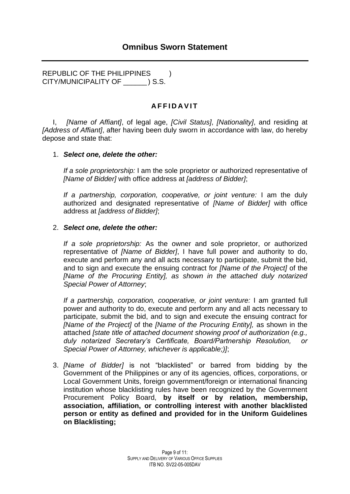REPUBLIC OF THE PHILIPPINES ) CITY/MUNICIPALITY OF \_\_\_\_\_\_ ) S.S.

## **A F F I D A V I T**

I, *[Name of Affiant]*, of legal age, *[Civil Status]*, *[Nationality]*, and residing at *[Address of Affiant]*, after having been duly sworn in accordance with law, do hereby depose and state that:

### 1. *Select one, delete the other:*

*If a sole proprietorship:* I am the sole proprietor or authorized representative of *[Name of Bidder]* with office address at *[address of Bidder]*;

*If a partnership, corporation, cooperative, or joint venture:* I am the duly authorized and designated representative of *[Name of Bidder]* with office address at *[address of Bidder]*;

#### 2. *Select one, delete the other:*

*If a sole proprietorship:* As the owner and sole proprietor, or authorized representative of *[Name of Bidder]*, I have full power and authority to do, execute and perform any and all acts necessary to participate, submit the bid, and to sign and execute the ensuing contract for *[Name of the Project]* of the *[Name of the Procuring Entity], as shown in the attached duly notarized Special Power of Attorney*;

*If a partnership, corporation, cooperative, or joint venture:* I am granted full power and authority to do, execute and perform any and all acts necessary to participate, submit the bid, and to sign and execute the ensuing contract for *[Name of the Project]* of the *[Name of the Procuring Entity],* as shown in the attached *[state title of attached document showing proof of authorization (e.g., duly notarized Secretary's Certificate, Board/Partnership Resolution, or Special Power of Attorney, whichever is applicable;)]*;

3. *[Name of Bidder]* is not "blacklisted" or barred from bidding by the Government of the Philippines or any of its agencies, offices, corporations, or Local Government Units, foreign government/foreign or international financing institution whose blacklisting rules have been recognized by the Government Procurement Policy Board, **by itself or by relation, membership, association, affiliation, or controlling interest with another blacklisted person or entity as defined and provided for in the Uniform Guidelines on Blacklisting;**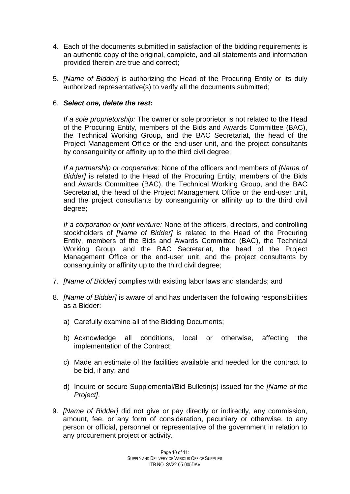- 4. Each of the documents submitted in satisfaction of the bidding requirements is an authentic copy of the original, complete, and all statements and information provided therein are true and correct;
- 5. *[Name of Bidder]* is authorizing the Head of the Procuring Entity or its duly authorized representative(s) to verify all the documents submitted;

## 6. *Select one, delete the rest:*

*If a sole proprietorship:* The owner or sole proprietor is not related to the Head of the Procuring Entity, members of the Bids and Awards Committee (BAC), the Technical Working Group, and the BAC Secretariat, the head of the Project Management Office or the end-user unit, and the project consultants by consanguinity or affinity up to the third civil degree;

*If a partnership or cooperative:* None of the officers and members of *[Name of Bidder]* is related to the Head of the Procuring Entity, members of the Bids and Awards Committee (BAC), the Technical Working Group, and the BAC Secretariat, the head of the Project Management Office or the end-user unit, and the project consultants by consanguinity or affinity up to the third civil degree;

*If a corporation or joint venture:* None of the officers, directors, and controlling stockholders of *[Name of Bidder]* is related to the Head of the Procuring Entity, members of the Bids and Awards Committee (BAC), the Technical Working Group, and the BAC Secretariat, the head of the Project Management Office or the end-user unit, and the project consultants by consanguinity or affinity up to the third civil degree;

- 7. *[Name of Bidder]* complies with existing labor laws and standards; and
- 8. *[Name of Bidder]* is aware of and has undertaken the following responsibilities as a Bidder:
	- a) Carefully examine all of the Bidding Documents;
	- b) Acknowledge all conditions, local or otherwise, affecting the implementation of the Contract;
	- c) Made an estimate of the facilities available and needed for the contract to be bid, if any; and
	- d) Inquire or secure Supplemental/Bid Bulletin(s) issued for the *[Name of the Project]*.
- 9. *[Name of Bidder]* did not give or pay directly or indirectly, any commission, amount, fee, or any form of consideration, pecuniary or otherwise, to any person or official, personnel or representative of the government in relation to any procurement project or activity.